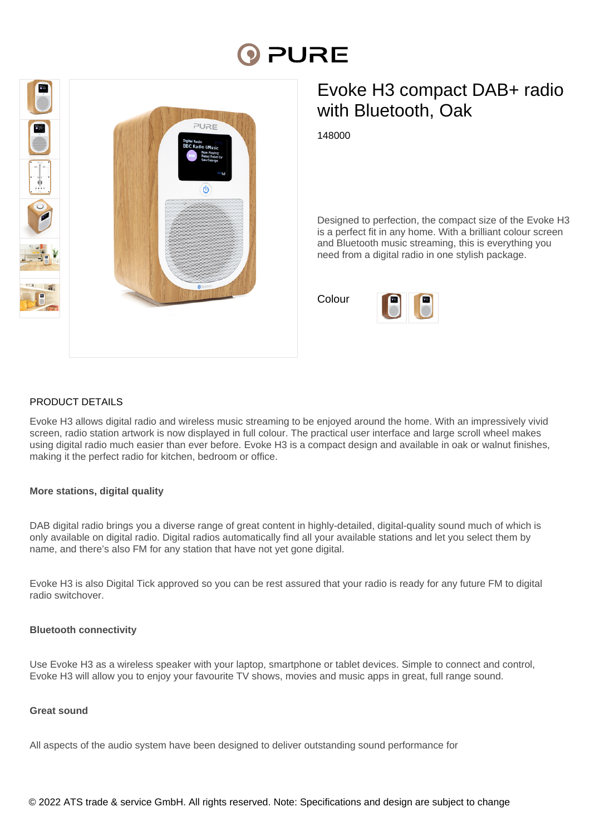# PURE



# Evoke H3 compact DAB+ radio with Bluetooth, Oak

148000

Designed to perfection, the compact size of the Evoke H3 is a perfect fit in any home. With a brilliant colour screen and Bluetooth music streaming, this is everything you need from a digital radio in one stylish package.

Colour



# PRODUCT DETAILS

Evoke H3 allows digital radio and wireless music streaming to be enjoyed around the home. With an impressively vivid screen, radio station artwork is now displayed in full colour. The practical user interface and large scroll wheel makes using digital radio much easier than ever before. Evoke H3 is a compact design and available in oak or walnut finishes, making it the perfect radio for kitchen, bedroom or office.

# **More stations, digital quality**

DAB digital radio brings you a diverse range of great content in highly-detailed, digital-quality sound much of which is only available on digital radio. Digital radios automatically find all your available stations and let you select them by name, and there's also FM for any station that have not yet gone digital.

Evoke H3 is also Digital Tick approved so you can be rest assured that your radio is ready for any future FM to digital radio switchover.

# **Bluetooth connectivity**

Use Evoke H3 as a wireless speaker with your laptop, smartphone or tablet devices. Simple to connect and control, Evoke H3 will allow you to enjoy your favourite TV shows, movies and music apps in great, full range sound.

# **Great sound**

All aspects of the audio system have been designed to deliver outstanding sound performance for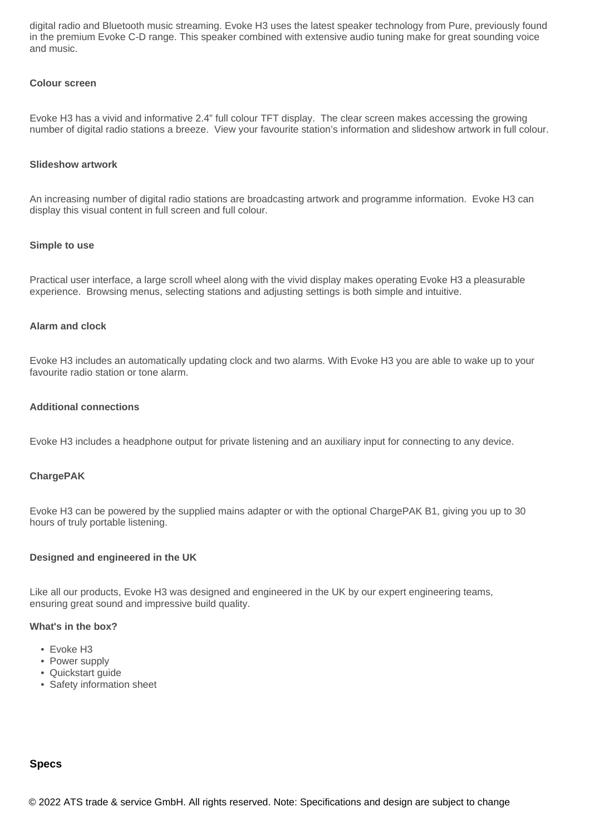digital radio and Bluetooth music streaming. Evoke H3 uses the latest speaker technology from Pure, previously found in the premium Evoke C-D range. This speaker combined with extensive audio tuning make for great sounding voice and music.

#### **Colour screen**

Evoke H3 has a vivid and informative 2.4" full colour TFT display. The clear screen makes accessing the growing number of digital radio stations a breeze. View your favourite station's information and slideshow artwork in full colour.

#### **Slideshow artwork**

An increasing number of digital radio stations are broadcasting artwork and programme information. Evoke H3 can display this visual content in full screen and full colour.

#### **Simple to use**

Practical user interface, a large scroll wheel along with the vivid display makes operating Evoke H3 a pleasurable experience. Browsing menus, selecting stations and adjusting settings is both simple and intuitive.

#### **Alarm and clock**

Evoke H3 includes an automatically updating clock and two alarms. With Evoke H3 you are able to wake up to your favourite radio station or tone alarm.

#### **Additional connections**

Evoke H3 includes a headphone output for private listening and an auxiliary input for connecting to any device.

#### **ChargePAK**

Evoke H3 can be powered by the supplied mains adapter or with the optional ChargePAK B1, giving you up to 30 hours of truly portable listening.

#### **Designed and engineered in the UK**

Like all our products, Evoke H3 was designed and engineered in the UK by our expert engineering teams, ensuring great sound and impressive build quality.

#### **What's in the box?**

- Evoke H3
- Power supply
- Quickstart guide
- Safety information sheet

#### **Specs**